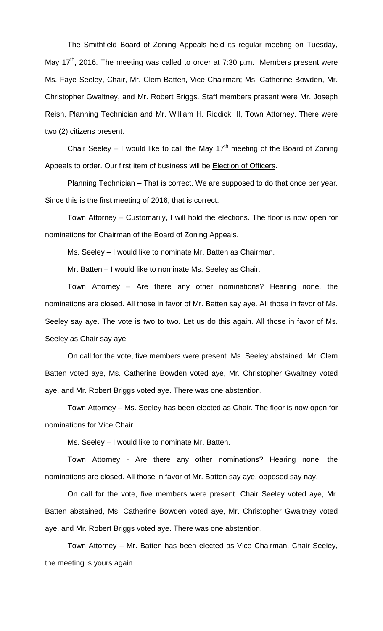The Smithfield Board of Zoning Appeals held its regular meeting on Tuesday, May 17<sup>th</sup>, 2016. The meeting was called to order at 7:30 p.m. Members present were Ms. Faye Seeley, Chair, Mr. Clem Batten, Vice Chairman; Ms. Catherine Bowden, Mr. Christopher Gwaltney, and Mr. Robert Briggs. Staff members present were Mr. Joseph Reish, Planning Technician and Mr. William H. Riddick III, Town Attorney. There were two (2) citizens present.

Chair Seeley – I would like to call the May 17<sup>th</sup> meeting of the Board of Zoning Appeals to order. Our first item of business will be **Election of Officers**.

Planning Technician – That is correct. We are supposed to do that once per year. Since this is the first meeting of 2016, that is correct.

Town Attorney – Customarily, I will hold the elections. The floor is now open for nominations for Chairman of the Board of Zoning Appeals.

Ms. Seeley – I would like to nominate Mr. Batten as Chairman.

Mr. Batten – I would like to nominate Ms. Seeley as Chair.

Town Attorney – Are there any other nominations? Hearing none, the nominations are closed. All those in favor of Mr. Batten say aye. All those in favor of Ms. Seeley say aye. The vote is two to two. Let us do this again. All those in favor of Ms. Seeley as Chair say aye.

On call for the vote, five members were present. Ms. Seeley abstained, Mr. Clem Batten voted aye, Ms. Catherine Bowden voted aye, Mr. Christopher Gwaltney voted aye, and Mr. Robert Briggs voted aye. There was one abstention.

Town Attorney – Ms. Seeley has been elected as Chair. The floor is now open for nominations for Vice Chair.

Ms. Seeley – I would like to nominate Mr. Batten.

Town Attorney - Are there any other nominations? Hearing none, the nominations are closed. All those in favor of Mr. Batten say aye, opposed say nay.

On call for the vote, five members were present. Chair Seeley voted aye, Mr. Batten abstained, Ms. Catherine Bowden voted aye, Mr. Christopher Gwaltney voted aye, and Mr. Robert Briggs voted aye. There was one abstention.

Town Attorney – Mr. Batten has been elected as Vice Chairman. Chair Seeley, the meeting is yours again.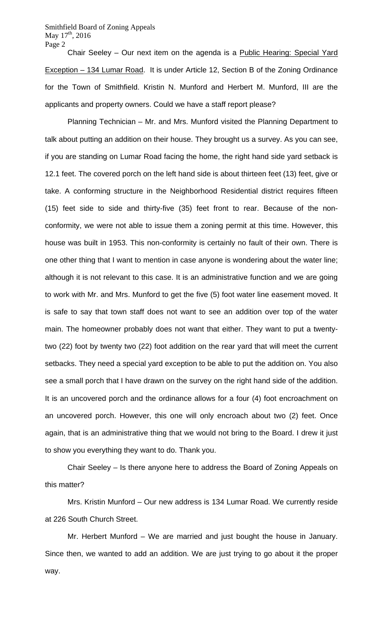Smithfield Board of Zoning Appeals May  $17^{\text{th}}$ , 2016 Page 2

Chair Seeley – Our next item on the agenda is a Public Hearing: Special Yard Exception – 134 Lumar Road. It is under Article 12, Section B of the Zoning Ordinance for the Town of Smithfield. Kristin N. Munford and Herbert M. Munford, III are the applicants and property owners. Could we have a staff report please?

Planning Technician – Mr. and Mrs. Munford visited the Planning Department to talk about putting an addition on their house. They brought us a survey. As you can see, if you are standing on Lumar Road facing the home, the right hand side yard setback is 12.1 feet. The covered porch on the left hand side is about thirteen feet (13) feet, give or take. A conforming structure in the Neighborhood Residential district requires fifteen (15) feet side to side and thirty-five (35) feet front to rear. Because of the nonconformity, we were not able to issue them a zoning permit at this time. However, this house was built in 1953. This non-conformity is certainly no fault of their own. There is one other thing that I want to mention in case anyone is wondering about the water line; although it is not relevant to this case. It is an administrative function and we are going to work with Mr. and Mrs. Munford to get the five (5) foot water line easement moved. It is safe to say that town staff does not want to see an addition over top of the water main. The homeowner probably does not want that either. They want to put a twentytwo (22) foot by twenty two (22) foot addition on the rear yard that will meet the current setbacks. They need a special yard exception to be able to put the addition on. You also see a small porch that I have drawn on the survey on the right hand side of the addition. It is an uncovered porch and the ordinance allows for a four (4) foot encroachment on an uncovered porch. However, this one will only encroach about two (2) feet. Once again, that is an administrative thing that we would not bring to the Board. I drew it just to show you everything they want to do. Thank you.

Chair Seeley – Is there anyone here to address the Board of Zoning Appeals on this matter?

Mrs. Kristin Munford – Our new address is 134 Lumar Road. We currently reside at 226 South Church Street.

Mr. Herbert Munford – We are married and just bought the house in January. Since then, we wanted to add an addition. We are just trying to go about it the proper way.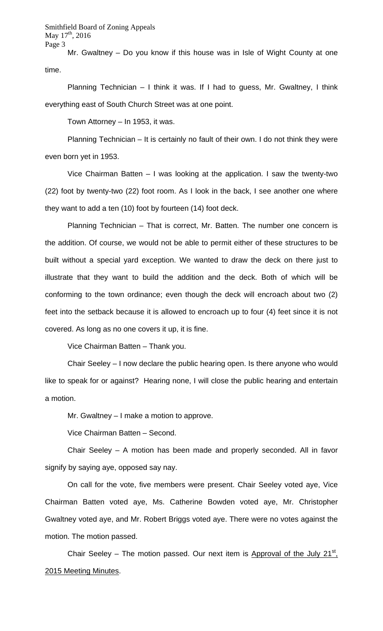Smithfield Board of Zoning Appeals May 17<sup>th</sup>, 2016 Page 3

Mr. Gwaltney – Do you know if this house was in Isle of Wight County at one time.

Planning Technician – I think it was. If I had to guess, Mr. Gwaltney, I think everything east of South Church Street was at one point.

Town Attorney – In 1953, it was.

Planning Technician – It is certainly no fault of their own. I do not think they were even born yet in 1953.

Vice Chairman Batten – I was looking at the application. I saw the twenty-two (22) foot by twenty-two (22) foot room. As I look in the back, I see another one where they want to add a ten (10) foot by fourteen (14) foot deck.

Planning Technician – That is correct, Mr. Batten. The number one concern is the addition. Of course, we would not be able to permit either of these structures to be built without a special yard exception. We wanted to draw the deck on there just to illustrate that they want to build the addition and the deck. Both of which will be conforming to the town ordinance; even though the deck will encroach about two (2) feet into the setback because it is allowed to encroach up to four (4) feet since it is not covered. As long as no one covers it up, it is fine.

Vice Chairman Batten – Thank you.

Chair Seeley – I now declare the public hearing open. Is there anyone who would like to speak for or against? Hearing none, I will close the public hearing and entertain a motion.

Mr. Gwaltney – I make a motion to approve.

Vice Chairman Batten – Second.

Chair Seeley – A motion has been made and properly seconded. All in favor signify by saying aye, opposed say nay.

On call for the vote, five members were present. Chair Seeley voted aye, Vice Chairman Batten voted aye, Ms. Catherine Bowden voted aye, Mr. Christopher Gwaltney voted aye, and Mr. Robert Briggs voted aye. There were no votes against the motion. The motion passed.

Chair Seeley – The motion passed. Our next item is Approval of the July  $21^{st}$ . 2015 Meeting Minutes.